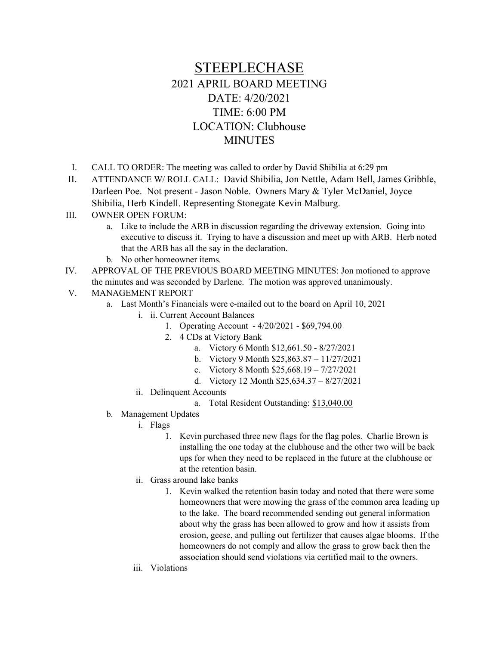## STEEPLECHASE 2021 APRIL BOARD MEETING DATE: 4/20/2021 TIME: 6:00 PM LOCATION: Clubhouse MINUTES

- I. CALL TO ORDER: The meeting was called to order by David Shibilia at 6:29 pm
- II. ATTENDANCE W/ ROLL CALL: David Shibilia, Jon Nettle, Adam Bell, James Gribble, Darleen Poe. Not present - Jason Noble. Owners Mary & Tyler McDaniel, Joyce Shibilia, Herb Kindell. Representing Stonegate Kevin Malburg.
- III. OWNER OPEN FORUM:
	- a. Like to include the ARB in discussion regarding the driveway extension. Going into executive to discuss it. Trying to have a discussion and meet up with ARB. Herb noted that the ARB has all the say in the declaration.
	- b. No other homeowner items.
- IV. APPROVAL OF THE PREVIOUS BOARD MEETING MINUTES: Jon motioned to approve the minutes and was seconded by Darlene. The motion was approved unanimously.
- V. MANAGEMENT REPORT
	- a. Last Month's Financials were e-mailed out to the board on April 10, 2021
		- i. ii. Current Account Balances
			- 1. Operating Account 4/20/2021 \$69,794.00
			- 2. 4 CDs at Victory Bank
				- a. Victory 6 Month \$12,661.50 8/27/2021
				- b. Victory 9 Month \$25,863.87 11/27/2021
				- c. Victory 8 Month \$25,668.19 7/27/2021
				- d. Victory 12 Month \$25,634.37 8/27/2021
		- ii. Delinquent Accounts
			- a. Total Resident Outstanding: \$13,040.00
	- b. Management Updates
		- i. Flags
			- 1. Kevin purchased three new flags for the flag poles. Charlie Brown is installing the one today at the clubhouse and the other two will be back ups for when they need to be replaced in the future at the clubhouse or at the retention basin.
		- ii. Grass around lake banks
			- 1. Kevin walked the retention basin today and noted that there were some homeowners that were mowing the grass of the common area leading up to the lake. The board recommended sending out general information about why the grass has been allowed to grow and how it assists from erosion, geese, and pulling out fertilizer that causes algae blooms. If the homeowners do not comply and allow the grass to grow back then the association should send violations via certified mail to the owners.
		- iii. Violations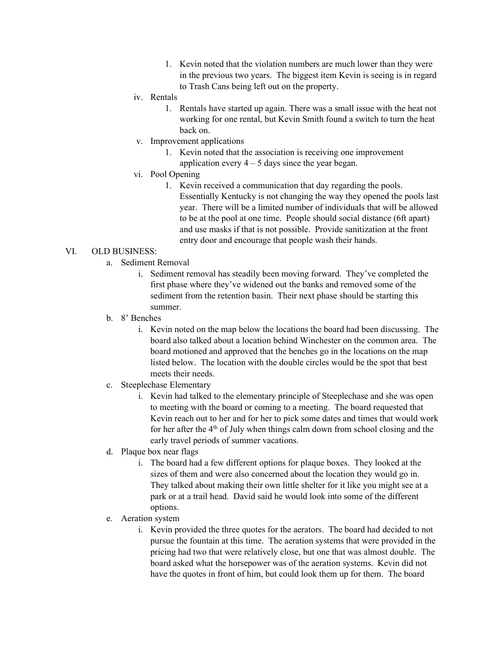- 1. Kevin noted that the violation numbers are much lower than they were in the previous two years. The biggest item Kevin is seeing is in regard to Trash Cans being left out on the property.
- iv. Rentals
	- 1. Rentals have started up again. There was a small issue with the heat not working for one rental, but Kevin Smith found a switch to turn the heat back on.
- v. Improvement applications
	- 1. Kevin noted that the association is receiving one improvement application every  $4 - 5$  days since the year began.
- vi. Pool Opening
	- 1. Kevin received a communication that day regarding the pools. Essentially Kentucky is not changing the way they opened the pools last year. There will be a limited number of individuals that will be allowed to be at the pool at one time. People should social distance (6ft apart) and use masks if that is not possible. Provide sanitization at the front entry door and encourage that people wash their hands.

## VI. OLD BUSINESS:

- a. Sediment Removal
	- i. Sediment removal has steadily been moving forward. They've completed the first phase where they've widened out the banks and removed some of the sediment from the retention basin. Their next phase should be starting this summer.
- b. 8' Benches
	- i. Kevin noted on the map below the locations the board had been discussing. The board also talked about a location behind Winchester on the common area. The board motioned and approved that the benches go in the locations on the map listed below. The location with the double circles would be the spot that best meets their needs.
- c. Steeplechase Elementary
	- i. Kevin had talked to the elementary principle of Steeplechase and she was open to meeting with the board or coming to a meeting. The board requested that Kevin reach out to her and for her to pick some dates and times that would work for her after the 4th of July when things calm down from school closing and the early travel periods of summer vacations.
- d. Plaque box near flags
	- i. The board had a few different options for plaque boxes. They looked at the sizes of them and were also concerned about the location they would go in. They talked about making their own little shelter for it like you might see at a park or at a trail head. David said he would look into some of the different options.
- e. Aeration system
	- i. Kevin provided the three quotes for the aerators. The board had decided to not pursue the fountain at this time. The aeration systems that were provided in the pricing had two that were relatively close, but one that was almost double. The board asked what the horsepower was of the aeration systems. Kevin did not have the quotes in front of him, but could look them up for them. The board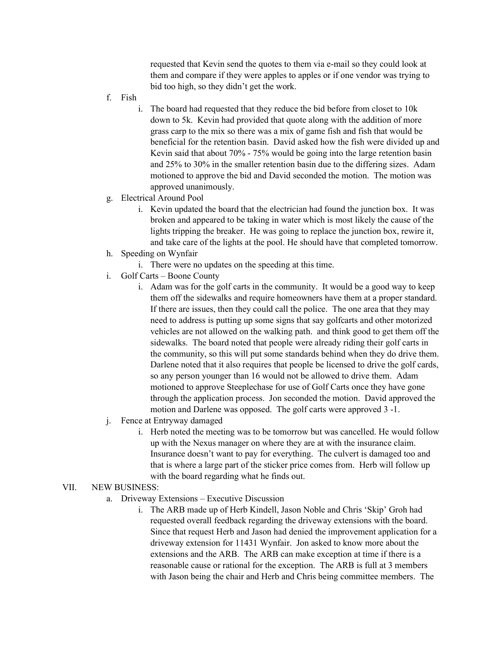requested that Kevin send the quotes to them via e-mail so they could look at them and compare if they were apples to apples or if one vendor was trying to bid too high, so they didn't get the work.

- f. Fish
	- i. The board had requested that they reduce the bid before from closet to 10k down to 5k. Kevin had provided that quote along with the addition of more grass carp to the mix so there was a mix of game fish and fish that would be beneficial for the retention basin. David asked how the fish were divided up and Kevin said that about 70% - 75% would be going into the large retention basin and 25% to 30% in the smaller retention basin due to the differing sizes. Adam motioned to approve the bid and David seconded the motion. The motion was approved unanimously.
- g. Electrical Around Pool
	- i. Kevin updated the board that the electrician had found the junction box. It was broken and appeared to be taking in water which is most likely the cause of the lights tripping the breaker. He was going to replace the junction box, rewire it, and take care of the lights at the pool. He should have that completed tomorrow.
- h. Speeding on Wynfair
	- i. There were no updates on the speeding at this time.
- i. Golf Carts Boone County
	- i. Adam was for the golf carts in the community. It would be a good way to keep them off the sidewalks and require homeowners have them at a proper standard. If there are issues, then they could call the police. The one area that they may need to address is putting up some signs that say golfcarts and other motorized vehicles are not allowed on the walking path. and think good to get them off the sidewalks. The board noted that people were already riding their golf carts in the community, so this will put some standards behind when they do drive them. Darlene noted that it also requires that people be licensed to drive the golf cards, so any person younger than 16 would not be allowed to drive them. Adam motioned to approve Steeplechase for use of Golf Carts once they have gone through the application process. Jon seconded the motion. David approved the motion and Darlene was opposed. The golf carts were approved 3 -1.
- j. Fence at Entryway damaged
	- i. Herb noted the meeting was to be tomorrow but was cancelled. He would follow up with the Nexus manager on where they are at with the insurance claim. Insurance doesn't want to pay for everything. The culvert is damaged too and that is where a large part of the sticker price comes from. Herb will follow up with the board regarding what he finds out.

## VII. NEW BUSINESS:

- a. Driveway Extensions Executive Discussion
	- i. The ARB made up of Herb Kindell, Jason Noble and Chris 'Skip' Groh had requested overall feedback regarding the driveway extensions with the board. Since that request Herb and Jason had denied the improvement application for a driveway extension for 11431 Wynfair. Jon asked to know more about the extensions and the ARB. The ARB can make exception at time if there is a reasonable cause or rational for the exception. The ARB is full at 3 members with Jason being the chair and Herb and Chris being committee members. The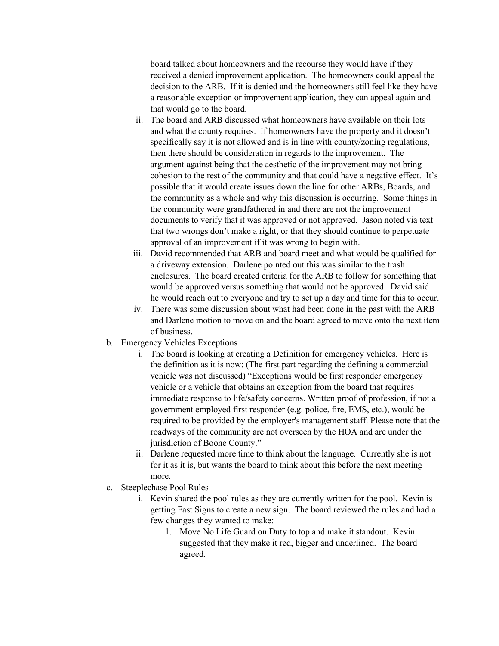board talked about homeowners and the recourse they would have if they received a denied improvement application. The homeowners could appeal the decision to the ARB. If it is denied and the homeowners still feel like they have a reasonable exception or improvement application, they can appeal again and that would go to the board.

- ii. The board and ARB discussed what homeowners have available on their lots and what the county requires. If homeowners have the property and it doesn't specifically say it is not allowed and is in line with county/zoning regulations, then there should be consideration in regards to the improvement. The argument against being that the aesthetic of the improvement may not bring cohesion to the rest of the community and that could have a negative effect. It's possible that it would create issues down the line for other ARBs, Boards, and the community as a whole and why this discussion is occurring. Some things in the community were grandfathered in and there are not the improvement documents to verify that it was approved or not approved. Jason noted via text that two wrongs don't make a right, or that they should continue to perpetuate approval of an improvement if it was wrong to begin with.
- iii. David recommended that ARB and board meet and what would be qualified for a driveway extension. Darlene pointed out this was similar to the trash enclosures. The board created criteria for the ARB to follow for something that would be approved versus something that would not be approved. David said he would reach out to everyone and try to set up a day and time for this to occur.
- iv. There was some discussion about what had been done in the past with the ARB and Darlene motion to move on and the board agreed to move onto the next item of business.
- b. Emergency Vehicles Exceptions
	- i. The board is looking at creating a Definition for emergency vehicles. Here is the definition as it is now: (The first part regarding the defining a commercial vehicle was not discussed) "Exceptions would be first responder emergency vehicle or a vehicle that obtains an exception from the board that requires immediate response to life/safety concerns. Written proof of profession, if not a government employed first responder (e.g. police, fire, EMS, etc.), would be required to be provided by the employer's management staff. Please note that the roadways of the community are not overseen by the HOA and are under the jurisdiction of Boone County."
	- ii. Darlene requested more time to think about the language. Currently she is not for it as it is, but wants the board to think about this before the next meeting more.
- c. Steeplechase Pool Rules
	- i. Kevin shared the pool rules as they are currently written for the pool. Kevin is getting Fast Signs to create a new sign. The board reviewed the rules and had a few changes they wanted to make:
		- 1. Move No Life Guard on Duty to top and make it standout. Kevin suggested that they make it red, bigger and underlined. The board agreed.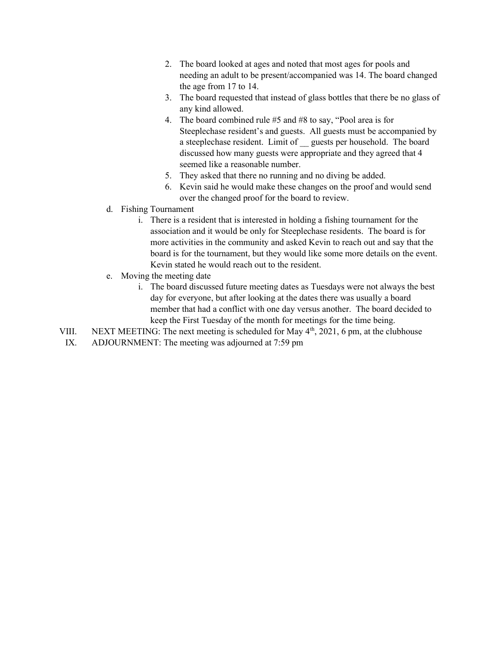- 2. The board looked at ages and noted that most ages for pools and needing an adult to be present/accompanied was 14. The board changed the age from 17 to 14.
- 3. The board requested that instead of glass bottles that there be no glass of any kind allowed.
- 4. The board combined rule #5 and #8 to say, "Pool area is for Steeplechase resident's and guests. All guests must be accompanied by a steeplechase resident. Limit of \_\_ guests per household. The board discussed how many guests were appropriate and they agreed that 4 seemed like a reasonable number.
- 5. They asked that there no running and no diving be added.
- 6. Kevin said he would make these changes on the proof and would send over the changed proof for the board to review.
- d. Fishing Tournament
	- i. There is a resident that is interested in holding a fishing tournament for the association and it would be only for Steeplechase residents. The board is for more activities in the community and asked Kevin to reach out and say that the board is for the tournament, but they would like some more details on the event. Kevin stated he would reach out to the resident.
- e. Moving the meeting date
	- i. The board discussed future meeting dates as Tuesdays were not always the best day for everyone, but after looking at the dates there was usually a board member that had a conflict with one day versus another. The board decided to keep the First Tuesday of the month for meetings for the time being.
- VIII. NEXT MEETING: The next meeting is scheduled for May 4<sup>th</sup>, 2021, 6 pm, at the clubhouse
- IX. ADJOURNMENT: The meeting was adjourned at 7:59 pm